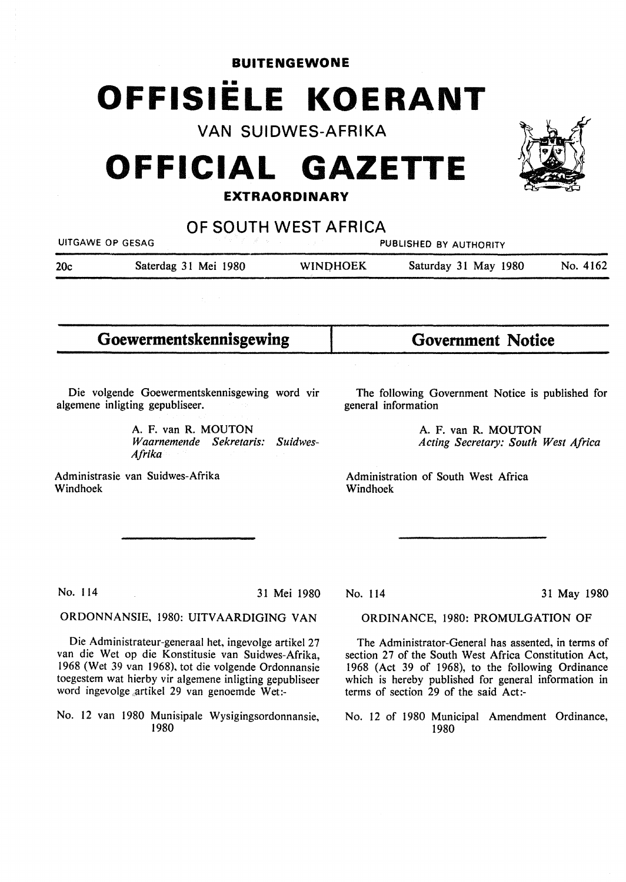# **BUITENGEWONE**  •• **OFFISIELE KOERANT**

**VAN SUIDWES-AFRIKA** 

# **OFFICIAL GAZETTE**

## **EXTRAORDINARY**

**OF SOUTH WEST AFRICA** 

| UITGAWE OP GESAG |                      |                 | PUBLISHED BY AUTHORITY |          |
|------------------|----------------------|-----------------|------------------------|----------|
| 20c              | Saterdag 31 Mei 1980 | <b>WINDHOEK</b> | Saturday 31 May 1980   | No. 4162 |
|                  |                      |                 |                        |          |

**Goewermentskennisgewing Government Notice** 

Die volgende Goewermentskennisgewing word vir algemene inligting gepubliseer.

> A. F. van **R. MOUTON**  *Waarnemende Sekretaris: Suidwes-Afrika*

Administrasie van Suidwes-Afrika Windhoek

The following Government Notice is published for general information

> A. F. van **R. MOUTON**  *Acting Secretary: South West Africa*

Administration of South West Africa Windhoek

No. 114 31 Mei 1980

#### ORDONNANSIE, 1980: UITVAARDIGING VAN

Die Administrateur-generaal het, ingevolge artikel 27 van die Wet op die Konstitusie van Suidwes-Afrika, 1968 (Wet 39 van 1968), tot die volgende Ordonnansie toegestem wat hierby vir algemene inligting gepubliseer word ingevolge .artikel 29 van genoemde Wet:-

No. 12 van 1980 Munisipale Wysigingsordonnansie, 1980

#### No. 114 31 May 1980

#### ORDINANCE, 1980: PROMULGATION OF

The Administrator-General has assented, in terms of section 27 of the South West Africa Constitution Act, 1968 (Act 39 of 1968), to the following Ordinance which is hereby published for general information in terms of section 29 of the said Act:-

No. 12 of 1980 Municipal Amendment Ordinance, 1980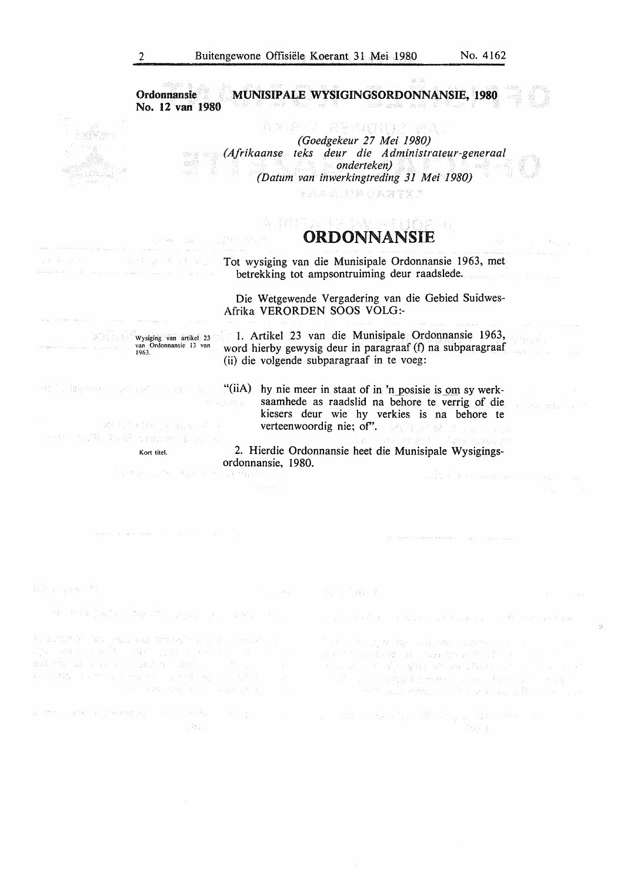$\frac{11}{37}$ 

| Ordonnansie<br>No. 12 van 1980                                                                                                                                         |                                                                                                                                                                                                                                                                                                                                                                                                                                                                  | ISIPALE WYSIGINGSORDONNANSIE, 1980                                                                                                                                                                                                                   |                                                                                                                                                                                                                                |
|------------------------------------------------------------------------------------------------------------------------------------------------------------------------|------------------------------------------------------------------------------------------------------------------------------------------------------------------------------------------------------------------------------------------------------------------------------------------------------------------------------------------------------------------------------------------------------------------------------------------------------------------|------------------------------------------------------------------------------------------------------------------------------------------------------------------------------------------------------------------------------------------------------|--------------------------------------------------------------------------------------------------------------------------------------------------------------------------------------------------------------------------------|
|                                                                                                                                                                        |                                                                                                                                                                                                                                                                                                                                                                                                                                                                  |                                                                                                                                                                                                                                                      |                                                                                                                                                                                                                                |
|                                                                                                                                                                        |                                                                                                                                                                                                                                                                                                                                                                                                                                                                  | VARE CEMUNIST                                                                                                                                                                                                                                        |                                                                                                                                                                                                                                |
|                                                                                                                                                                        |                                                                                                                                                                                                                                                                                                                                                                                                                                                                  | (Goedgekeur 27 Mei 1980)<br>(Afrikaanse teks deur die Administrateur-generaal                                                                                                                                                                        |                                                                                                                                                                                                                                |
|                                                                                                                                                                        |                                                                                                                                                                                                                                                                                                                                                                                                                                                                  | <b>onderteken</b> )                                                                                                                                                                                                                                  |                                                                                                                                                                                                                                |
|                                                                                                                                                                        |                                                                                                                                                                                                                                                                                                                                                                                                                                                                  | (Datum van inwerkingtreding 31 Mei 1980)                                                                                                                                                                                                             |                                                                                                                                                                                                                                |
|                                                                                                                                                                        |                                                                                                                                                                                                                                                                                                                                                                                                                                                                  |                                                                                                                                                                                                                                                      |                                                                                                                                                                                                                                |
|                                                                                                                                                                        |                                                                                                                                                                                                                                                                                                                                                                                                                                                                  | 医关节病 经经营 医肾下腺炎                                                                                                                                                                                                                                       |                                                                                                                                                                                                                                |
|                                                                                                                                                                        |                                                                                                                                                                                                                                                                                                                                                                                                                                                                  | AD ESA ER PAGEITIORGI                                                                                                                                                                                                                                |                                                                                                                                                                                                                                |
|                                                                                                                                                                        |                                                                                                                                                                                                                                                                                                                                                                                                                                                                  | ORDONNANSIE                                                                                                                                                                                                                                          |                                                                                                                                                                                                                                |
|                                                                                                                                                                        |                                                                                                                                                                                                                                                                                                                                                                                                                                                                  | <b>Contract Tot wysiging van die Munisipale Ordonnansie 1963, met</b><br>betrekking tot ampsontruiming deur raadslede.                                                                                                                               |                                                                                                                                                                                                                                |
|                                                                                                                                                                        |                                                                                                                                                                                                                                                                                                                                                                                                                                                                  | Die Wetgewende Vergadering van die Gebied Suidwes-<br>Afrika VERORDEN SOOS VOLG:-                                                                                                                                                                    |                                                                                                                                                                                                                                |
| Wysiging van artikel 23<br>van Ordonnansie 13 van<br>1963.                                                                                                             |                                                                                                                                                                                                                                                                                                                                                                                                                                                                  | 1. Artikel 23 van die Munisipale Ordonnansie 1963,<br>word hierby gewysig deur in paragraaf (f) na subparagraaf<br>(ii) die volgende subparagraaf in te voeg:                                                                                        |                                                                                                                                                                                                                                |
| <b>1989 1989 1999 1999 1999 1999 1999 1999 1999 1999 1999 1999 1999 1999 1999 1999 1999 1999 1999 1999 1999 1999 1999 1999 1999 1999 1999 1999 1999 1999 1999 1999</b> |                                                                                                                                                                                                                                                                                                                                                                                                                                                                  |                                                                                                                                                                                                                                                      |                                                                                                                                                                                                                                |
|                                                                                                                                                                        | na pasang poli                                                                                                                                                                                                                                                                                                                                                                                                                                                   | saamhede as raadslid na behore te verrig of die                                                                                                                                                                                                      |                                                                                                                                                                                                                                |
|                                                                                                                                                                        |                                                                                                                                                                                                                                                                                                                                                                                                                                                                  | kiesers deur wie hy verkies is na behore te                                                                                                                                                                                                          |                                                                                                                                                                                                                                |
| 347 12 19 11 12 13 14 15 17                                                                                                                                            |                                                                                                                                                                                                                                                                                                                                                                                                                                                                  | verteenwoordig nie; of". We see the second state of the second state of the second state of the second state of the second state of the second state of the second state of the second state of the second state of the second                       |                                                                                                                                                                                                                                |
| あせん なが難しない 浮し はなにあたる しょにいた                                                                                                                                             |                                                                                                                                                                                                                                                                                                                                                                                                                                                                  | o staliestikoho slave e an                                                                                                                                                                                                                           |                                                                                                                                                                                                                                |
| Kort titel.                                                                                                                                                            |                                                                                                                                                                                                                                                                                                                                                                                                                                                                  | 2. Hierdie Ordonnansie heet die Munisipale Wysigings-                                                                                                                                                                                                |                                                                                                                                                                                                                                |
|                                                                                                                                                                        | ordonnansie, 1980.                                                                                                                                                                                                                                                                                                                                                                                                                                               |                                                                                                                                                                                                                                                      |                                                                                                                                                                                                                                |
| 人名英格兰人姓氏博克斯 经原始管理程序 经公司                                                                                                                                                |                                                                                                                                                                                                                                                                                                                                                                                                                                                                  |                                                                                                                                                                                                                                                      | and that we have a great service                                                                                                                                                                                               |
|                                                                                                                                                                        |                                                                                                                                                                                                                                                                                                                                                                                                                                                                  |                                                                                                                                                                                                                                                      |                                                                                                                                                                                                                                |
|                                                                                                                                                                        |                                                                                                                                                                                                                                                                                                                                                                                                                                                                  |                                                                                                                                                                                                                                                      |                                                                                                                                                                                                                                |
|                                                                                                                                                                        |                                                                                                                                                                                                                                                                                                                                                                                                                                                                  |                                                                                                                                                                                                                                                      |                                                                                                                                                                                                                                |
|                                                                                                                                                                        |                                                                                                                                                                                                                                                                                                                                                                                                                                                                  |                                                                                                                                                                                                                                                      |                                                                                                                                                                                                                                |
| 1990年1月                                                                                                                                                                |                                                                                                                                                                                                                                                                                                                                                                                                                                                                  | 计算机 网络阿尔巴特 医后缀 经未定                                                                                                                                                                                                                                   | and the state                                                                                                                                                                                                                  |
| 一体。那家和子衣和小小孩的小孩, (2) 2012年12月22日 1月22日                                                                                                                                 |                                                                                                                                                                                                                                                                                                                                                                                                                                                                  | (四) 的复数人工的复数形式人民法院的一个人,但是                                                                                                                                                                                                                            |                                                                                                                                                                                                                                |
| s a chat tric both wous suppliers well construct project in a                                                                                                          |                                                                                                                                                                                                                                                                                                                                                                                                                                                                  | The East of Edges (24) and 1992 and 24 million of the Common Common                                                                                                                                                                                  |                                                                                                                                                                                                                                |
| 医心室硬面炎 地面 除了 网络安全出现 医乳头病 医小脑下层 医心房炎<br>where the second states and a second state of the second<br>经销售数据 医无中枢的 化甲基乙烯 医乳房发酵 医精神病 化聚合物 医单位                               | in Ville<br>$\mathbb{E}[\mathcal{S}^{\mathbb{C}}] \leq \mathcal{E}[\mathcal{S}^{\mathbb{C}} \cap \mathcal{S}^{\mathbb{C}} \cap \mathcal{S}^{\mathbb{C}}] \leq \mathbb{E}[\mathcal{S}^{\mathbb{C}} \cap \mathcal{S}^{\mathbb{C}} \cap \mathcal{S}^{\mathbb{C}} \cap \mathcal{S}^{\mathbb{C}} \cap \mathcal{S}^{\mathbb{C}} \cap \mathcal{S}^{\mathbb{C}} \cap \mathcal{S}^{\mathbb{C}} \cap \mathcal{S}^{\mathbb{C}} \cap \mathcal{S}^{\mathbb{C}} \cap \mathcal$ | man the residents and management of the company of the<br>strande to be also affairs attead. Paut, som as teacher at<br>a sa kilima na mangkilin kata na mana na mana na mana na mana na mana na mana na mana na mana na mana na mana n<br>Manazarta | THE ROOM RESIDENCE OF THE PARTIES OF THE RESIDENCE OF THE RESIDENCE OF THE RESIDENCE OF THE RESIDENCE OF THE RESIDENCE OF THE RESIDENCE OF THE RESIDENCE OF THE RESIDENCE OF THE RESIDENCE OF THE RESIDENCE OF THE RESIDENCE O |
| ame and a community by bypedia and a series of a construction of the company of the space of a construction of<br>2044.00                                              |                                                                                                                                                                                                                                                                                                                                                                                                                                                                  |                                                                                                                                                                                                                                                      | 마당 1                                                                                                                                                                                                                           |
|                                                                                                                                                                        |                                                                                                                                                                                                                                                                                                                                                                                                                                                                  |                                                                                                                                                                                                                                                      |                                                                                                                                                                                                                                |
|                                                                                                                                                                        |                                                                                                                                                                                                                                                                                                                                                                                                                                                                  |                                                                                                                                                                                                                                                      |                                                                                                                                                                                                                                |
|                                                                                                                                                                        |                                                                                                                                                                                                                                                                                                                                                                                                                                                                  |                                                                                                                                                                                                                                                      |                                                                                                                                                                                                                                |
|                                                                                                                                                                        |                                                                                                                                                                                                                                                                                                                                                                                                                                                                  |                                                                                                                                                                                                                                                      |                                                                                                                                                                                                                                |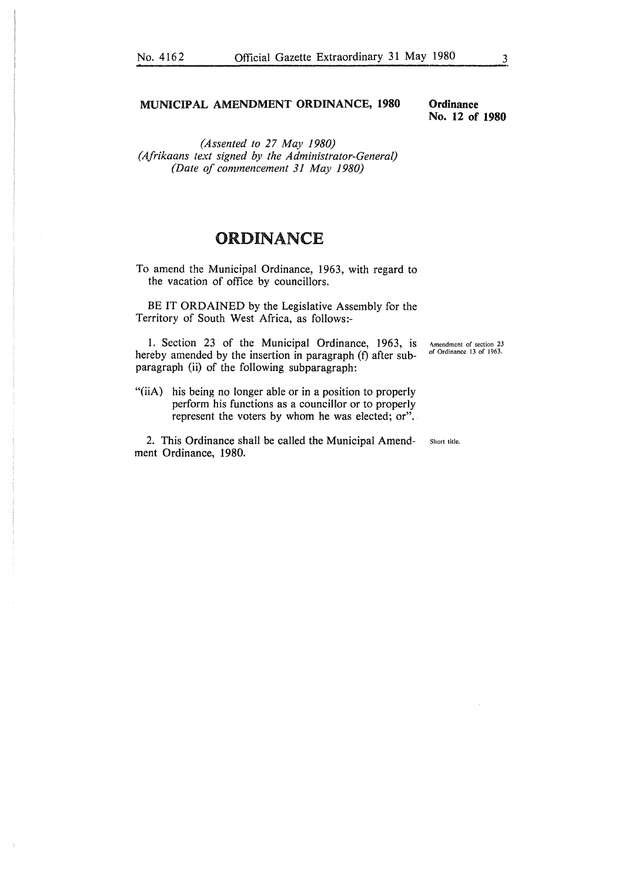#### **MUNICIPAL AMENDMENT ORDINANCE, 1980**

**Ordinance No. 12 of 1980** 

*(Assented to 27 May 1980) (Afrikaans text signed by the Administrator-General) (Date of commencement 31 May 1980)* 

## ORDINANCE

To amend the Municipal Ordinance, 1963, with regard to the vacation of office by councillors.

BE IT ORDAINED by the Legislative Assembly for the Territory of South West Africa, as follows:-

1. Section 23 of the Municipal Ordinance, 1963, is hereby amended by the insertion in paragraph (f) after subparagraph (ii) of the following subparagraph: Amendment of section 23 of Ordinance 13 of 1963.

"(iiA) his being no longer able or in a position to properly perform his functions as a councillor or to properly represent the voters by whom he was elected; or".

2. This Ordinance shall be called the Municipal Amend-<br>
short title. ment Ordinance, 1980.